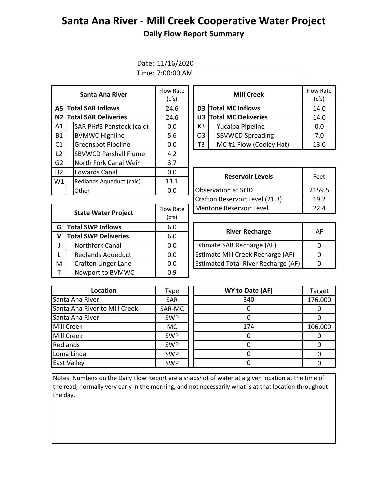## **Santa Ana River - Mill Creek Cooperative Water Project Daily Flow Report Summary**

## Date: 11/16/2020

Time: 7:00:00 AM

|                | Santa Ana River              | Flow Rate<br><b>Mill Creek</b><br>(cfs) |                |                               | Flow Ra<br>(cfs) |  |  |
|----------------|------------------------------|-----------------------------------------|----------------|-------------------------------|------------------|--|--|
|                | A5 Total SAR Inflows         | 24.6                                    |                | D3 Total MC Inflows           | 14.0             |  |  |
|                | N2 Total SAR Deliveries      | 24.6                                    |                | <b>U3 Total MC Deliveries</b> |                  |  |  |
| A1             | SAR PH#3 Penstock (calc)     | 0.0                                     | K3             | Yucaipa Pipeline              | 0.0              |  |  |
| <b>B1</b>      | <b>BVMWC Highline</b>        | 5.6                                     | O <sub>3</sub> | <b>SBVWCD Spreading</b>       | 7.0              |  |  |
| C <sub>1</sub> | <b>Greenspot Pipeline</b>    | 0.0                                     | T3             | MC#1 Flow (Cooley Hat)        | 13.0             |  |  |
| L <sub>2</sub> | <b>SBVWCD Parshall Flume</b> | 4.2                                     |                |                               |                  |  |  |
| G <sub>2</sub> | North Fork Canal Weir        | 3.7                                     |                |                               |                  |  |  |
| H2             | <b>Edwards Canal</b>         | 0.0                                     |                |                               |                  |  |  |
| W1             | Redlands Aqueduct (calc)     | 11.1                                    |                | <b>Reservoir Levels</b>       |                  |  |  |
|                | Other                        | 0.0                                     |                | Observation at SOD            | 2159.            |  |  |

| w Rate<br>(cfs) |    | <b>Mill Creek</b>       | <b>Flow Rate</b><br>(cfs) |
|-----------------|----|-------------------------|---------------------------|
| 24.6            |    | D3 Total MC Inflows     | 14.0                      |
| 24.6            |    | U3 Total MC Deliveries  | 14.0                      |
| 0.0             | K3 | Yucaipa Pipeline        | 0.0                       |
| 5.6             | O3 | <b>SBVWCD Spreading</b> | 7.0                       |
| 0.0             | T3 | MC#1 Flow (Cooley Hat)  | 13.0                      |

| Edwards Canal            | 0.0              | <b>Reservoir Levels</b>        | Feet   |  |
|--------------------------|------------------|--------------------------------|--------|--|
| Redlands Aqueduct (calc) | 11.1             |                                |        |  |
| Other                    | 0.0              | Observation at SOD             | 2159.5 |  |
|                          |                  | Crafton Reservoir Level (21.3) | 19.2   |  |
| State Water Project      | <b>Flow Rate</b> | Mentone Reservoir Level        | 22.4   |  |
|                          |                  |                                |        |  |

|                           | Flow Rate                                                                             | Mentone Reservoir Level                    | 22                    |
|---------------------------|---------------------------------------------------------------------------------------|--------------------------------------------|-----------------------|
|                           | (cfs)                                                                                 |                                            |                       |
|                           | 6.0                                                                                   |                                            | $\mathsf{A}$          |
|                           | 6.0                                                                                   |                                            |                       |
| Northfork Canal           | 0.0                                                                                   | <b>Estimate SAR Recharge (AF)</b>          | $\Omega$              |
| <b>Redlands Aqueduct</b>  | 0.0                                                                                   | Estimate Mill Creek Recharge (AF)          | $\Omega$              |
| <b>Crafton Unger Lane</b> | 0.0                                                                                   | <b>Estimated Total River Recharge (AF)</b> | $\Omega$              |
| Newport to BVMWC          | 0.9                                                                                   |                                            |                       |
|                           | <b>State Water Project</b><br><b>Total SWP Inflows</b><br><b>Total SWP Deliveries</b> |                                            | <b>River Recharge</b> |

| <b>River Recharge</b>                      | AF |
|--------------------------------------------|----|
| <b>Estimate SAR Recharge (AF)</b>          |    |
| Estimate Mill Creek Recharge (AF)          |    |
| <b>Estimated Total River Recharge (AF)</b> |    |

| Location                      | Type       | WY to Date (AF) | Target  |
|-------------------------------|------------|-----------------|---------|
| Santa Ana River               | <b>SAR</b> | 340             | 176,000 |
| Santa Ana River to Mill Creek | SAR-MC     |                 |         |
| Santa Ana River               | <b>SWP</b> |                 |         |
| <b>Mill Creek</b>             | MC.        | 174             | 106,000 |
| <b>Mill Creek</b>             | <b>SWP</b> |                 |         |
| Redlands                      | <b>SWP</b> |                 |         |
| Loma Linda                    | <b>SWP</b> |                 |         |
| <b>East Valley</b>            | <b>SWP</b> |                 |         |

Notes: Numbers on the Daily Flow Report are a snapshot of water at a given location at the time of the read, normally very early in the morning, and not necessarily what is at that location throughout the day.